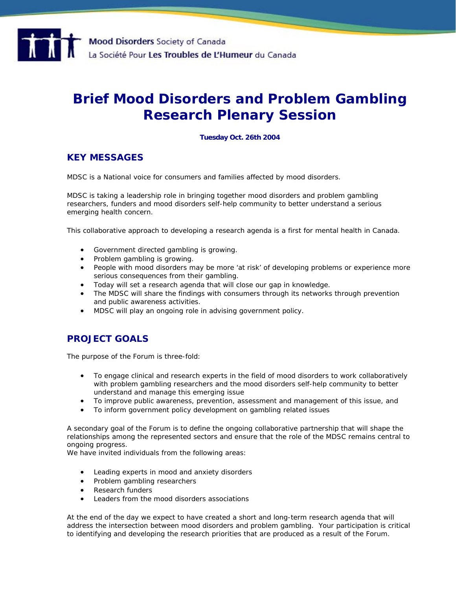# **Brief Mood Disorders and Problem Gambling Research Plenary Session**

## **Tuesday Oct. 26th 2004**

# **KEY MESSAGES**

MDSC is a National voice for consumers and families affected by mood disorders.

MDSC is taking a leadership role in bringing together mood disorders and problem gambling researchers, funders and mood disorders self-help community to better understand a serious emerging health concern.

This collaborative approach to developing a research agenda is a first for mental health in Canada.

- Government directed gambling is growing.
- Problem gambling is growing.
- People with mood disorders may be more 'at risk' of developing problems or experience more serious consequences from their gambling.
- Today will set a research agenda that will close our gap in knowledge.
- The MDSC will share the findings with consumers through its networks through prevention and public awareness activities.
- MDSC will play an ongoing role in advising government policy.

# **PROJECT GOALS**

The purpose of the Forum is three-fold:

- To engage clinical and research experts in the field of mood disorders to work collaboratively with problem gambling researchers and the mood disorders self-help community to better understand and manage this emerging issue
- To improve public awareness, prevention, assessment and management of this issue, and
- To inform government policy development on gambling related issues

A secondary goal of the Forum is to define the ongoing collaborative partnership that will shape the relationships among the represented sectors and ensure that the role of the MDSC remains central to ongoing progress.

We have invited individuals from the following areas:

- Leading experts in mood and anxiety disorders
- Problem gambling researchers
- Research funders
- Leaders from the mood disorders associations

At the end of the day we expect to have created a short and long-term research agenda that will address the intersection between mood disorders and problem gambling. Your participation is critical to identifying and developing the research priorities that are produced as a result of the Forum.